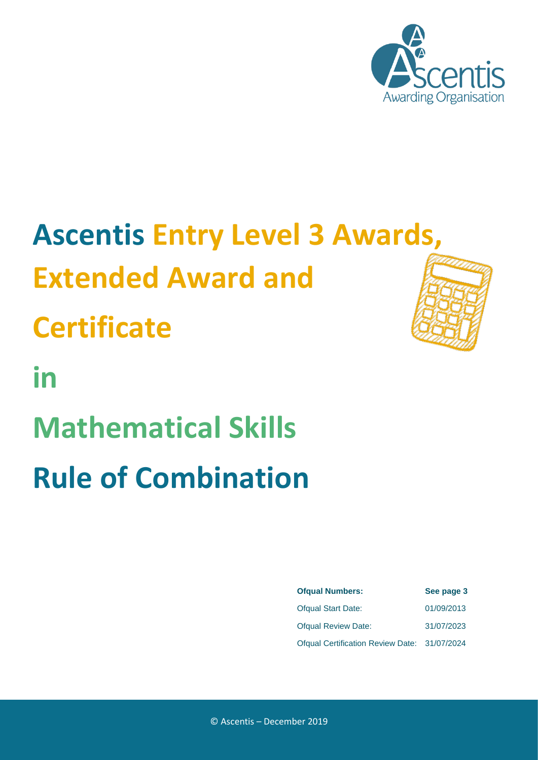

# **Ascentis Entry Level 3 Awards, Extended Award and**

**Certificate**

**in Mathematical Skills Rule of Combination**



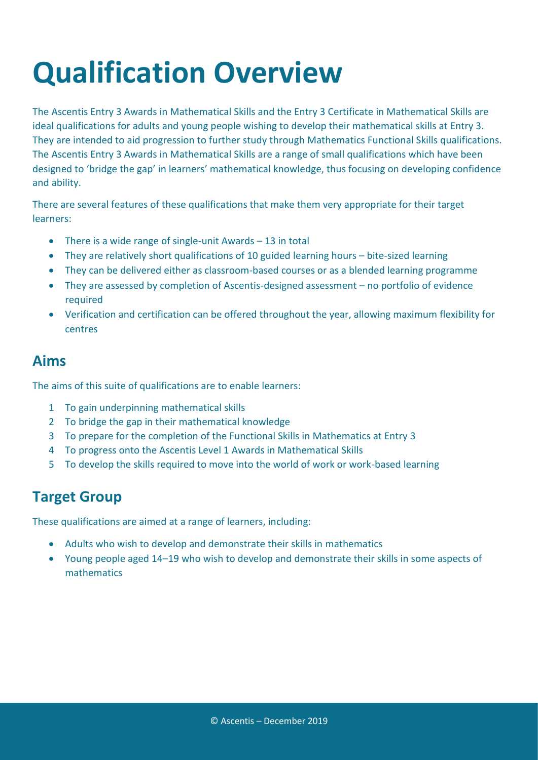# **Qualification Overview**

The Ascentis Entry 3 Awards in Mathematical Skills and the Entry 3 Certificate in Mathematical Skills are ideal qualifications for adults and young people wishing to develop their mathematical skills at Entry 3. They are intended to aid progression to further study through Mathematics Functional Skills qualifications. The Ascentis Entry 3 Awards in Mathematical Skills are a range of small qualifications which have been designed to 'bridge the gap' in learners' mathematical knowledge, thus focusing on developing confidence and ability.

There are several features of these qualifications that make them very appropriate for their target learners:

- There is a wide range of single-unit Awards 13 in total
- They are relatively short qualifications of 10 guided learning hours bite-sized learning
- They can be delivered either as classroom-based courses or as a blended learning programme
- They are assessed by completion of Ascentis-designed assessment no portfolio of evidence required
- Verification and certification can be offered throughout the year, allowing maximum flexibility for centres

#### **Aims**

The aims of this suite of qualifications are to enable learners:

- 1 To gain underpinning mathematical skills
- 2 To bridge the gap in their mathematical knowledge
- 3 To prepare for the completion of the Functional Skills in Mathematics at Entry 3
- 4 To progress onto the Ascentis Level 1 Awards in Mathematical Skills
- 5 To develop the skills required to move into the world of work or work-based learning

#### **Target Group**

These qualifications are aimed at a range of learners, including:

- Adults who wish to develop and demonstrate their skills in mathematics
- Young people aged 14–19 who wish to develop and demonstrate their skills in some aspects of mathematics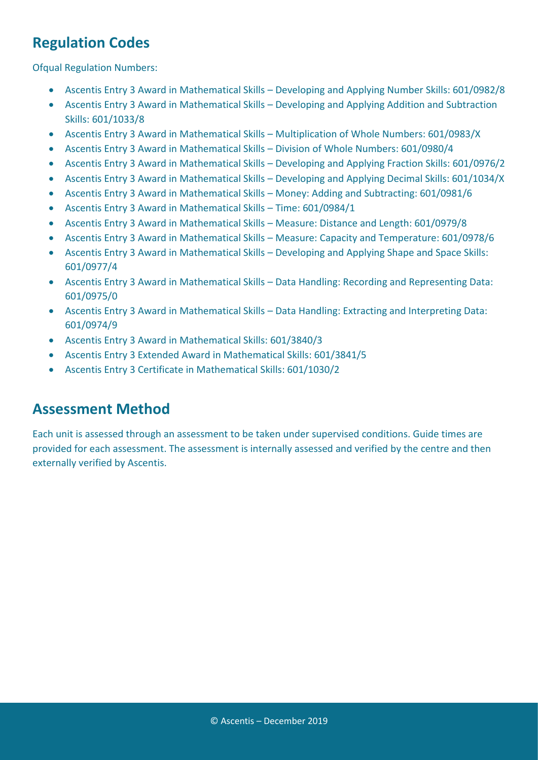### **Regulation Codes**

Ofqual Regulation Numbers:

- Ascentis Entry 3 Award in Mathematical Skills Developing and Applying Number Skills: 601/0982/8
- Ascentis Entry 3 Award in Mathematical Skills Developing and Applying Addition and Subtraction Skills: 601/1033/8
- Ascentis Entry 3 Award in Mathematical Skills Multiplication of Whole Numbers: 601/0983/X
- Ascentis Entry 3 Award in Mathematical Skills Division of Whole Numbers: 601/0980/4
- Ascentis Entry 3 Award in Mathematical Skills Developing and Applying Fraction Skills: 601/0976/2
- Ascentis Entry 3 Award in Mathematical Skills Developing and Applying Decimal Skills: 601/1034/X
- Ascentis Entry 3 Award in Mathematical Skills Money: Adding and Subtracting: 601/0981/6
- Ascentis Entry 3 Award in Mathematical Skills Time: 601/0984/1
- Ascentis Entry 3 Award in Mathematical Skills Measure: Distance and Length: 601/0979/8
- Ascentis Entry 3 Award in Mathematical Skills Measure: Capacity and Temperature: 601/0978/6
- Ascentis Entry 3 Award in Mathematical Skills Developing and Applying Shape and Space Skills: 601/0977/4
- Ascentis Entry 3 Award in Mathematical Skills Data Handling: Recording and Representing Data: 601/0975/0
- Ascentis Entry 3 Award in Mathematical Skills Data Handling: Extracting and Interpreting Data: 601/0974/9
- Ascentis Entry 3 Award in Mathematical Skills: 601/3840/3
- Ascentis Entry 3 Extended Award in Mathematical Skills: 601/3841/5
- Ascentis Entry 3 Certificate in Mathematical Skills: 601/1030/2

#### **Assessment Method**

Each unit is assessed through an assessment to be taken under supervised conditions. Guide times are provided for each assessment. The assessment is internally assessed and verified by the centre and then externally verified by Ascentis.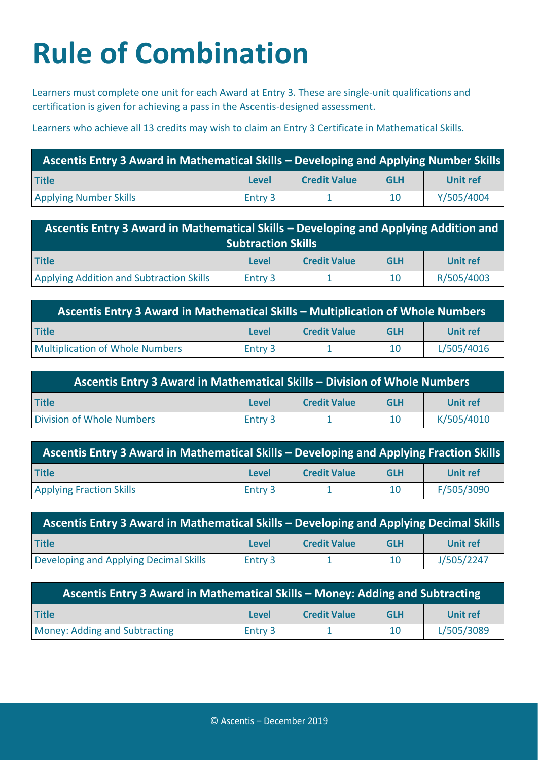# **Rule of Combination**

Learners must complete one unit for each Award at Entry 3. These are single-unit qualifications and certification is given for achieving a pass in the Ascentis-designed assessment.

Learners who achieve all 13 credits may wish to claim an Entry 3 Certificate in Mathematical Skills.

| <b>Ascentis Entry 3 Award in Mathematical Skills – Developing and Applying Number Skills</b> |         |                     |            |                 |
|----------------------------------------------------------------------------------------------|---------|---------------------|------------|-----------------|
| <b>Title</b>                                                                                 | Level   | <b>Credit Value</b> | <b>GLH</b> | <b>Unit ref</b> |
| <b>Applying Number Skills</b>                                                                | Entry 3 |                     | 10         | Y/505/4004      |

| Ascentis Entry 3 Award in Mathematical Skills - Developing and Applying Addition and |         |                     |            |            |
|--------------------------------------------------------------------------------------|---------|---------------------|------------|------------|
| <b>Subtraction Skills</b>                                                            |         |                     |            |            |
| <b>Title</b>                                                                         | Level   | <b>Credit Value</b> | <b>GLH</b> | Unit ref   |
| <b>Applying Addition and Subtraction Skills</b>                                      | Entry 3 |                     | 10         | R/505/4003 |

| Ascentis Entry 3 Award in Mathematical Skills - Multiplication of Whole Numbers |              |                     |            |            |
|---------------------------------------------------------------------------------|--------------|---------------------|------------|------------|
| <b>Title</b>                                                                    | <b>Level</b> | <b>Credit Value</b> | <b>GLH</b> | Unit ref   |
| <b>Multiplication of Whole Numbers</b>                                          | Entry 3      |                     | 10         | L/505/4016 |

| Ascentis Entry 3 Award in Mathematical Skills - Division of Whole Numbers |         |                     |            |            |
|---------------------------------------------------------------------------|---------|---------------------|------------|------------|
| <b>Title</b>                                                              | Level   | <b>Credit Value</b> | <b>GLH</b> | Unit ref   |
| Division of Whole Numbers                                                 | Entry 3 |                     | 10         | K/505/4010 |

| Ascentis Entry 3 Award in Mathematical Skills – Developing and Applying Fraction Skills |              |                     |            |            |
|-----------------------------------------------------------------------------------------|--------------|---------------------|------------|------------|
| <b>Title</b>                                                                            | <b>Level</b> | <b>Credit Value</b> | <b>GLH</b> | Unit ref   |
| <b>Applying Fraction Skills</b>                                                         | Entry 3      |                     | 10         | F/505/3090 |

| <b>Ascentis Entry 3 Award in Mathematical Skills - Developing and Applying Decimal Skills</b> |              |                     |            |            |
|-----------------------------------------------------------------------------------------------|--------------|---------------------|------------|------------|
| <b>Title</b>                                                                                  | <b>Level</b> | <b>Credit Value</b> | <b>GLH</b> | Unit ref   |
| Developing and Applying Decimal Skills                                                        | Entry 3      |                     | 10         | J/505/2247 |

| Ascentis Entry 3 Award in Mathematical Skills - Money: Adding and Subtracting |              |                     |            |            |
|-------------------------------------------------------------------------------|--------------|---------------------|------------|------------|
| <b>Title</b>                                                                  | <b>Level</b> | <b>Credit Value</b> | <b>GLH</b> | Unit ref   |
| <b>Money: Adding and Subtracting</b>                                          | Entry 3      |                     | 10         | L/505/3089 |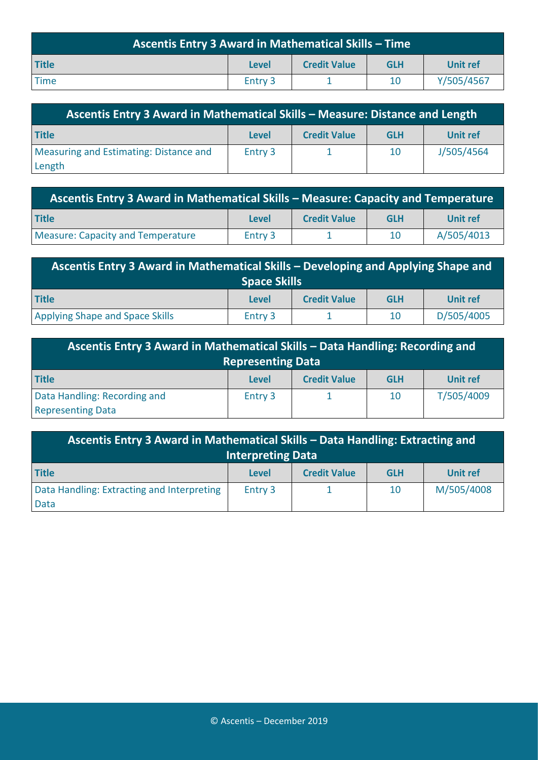| <b>Ascentis Entry 3 Award in Mathematical Skills - Time</b> |              |                     |            |            |
|-------------------------------------------------------------|--------------|---------------------|------------|------------|
| <b>Title</b>                                                | <b>Level</b> | <b>Credit Value</b> | <b>GLH</b> | Unit ref   |
| <b>Time</b>                                                 | Entry 3      |                     | 10         | Y/505/4567 |

| Ascentis Entry 3 Award in Mathematical Skills - Measure: Distance and Length |         |                     |            |            |
|------------------------------------------------------------------------------|---------|---------------------|------------|------------|
| <b>Title</b>                                                                 | Level   | <b>Credit Value</b> | <b>GLH</b> | Unit ref   |
| Measuring and Estimating: Distance and                                       | Entry 3 |                     | 10         | J/505/4564 |
| Length                                                                       |         |                     |            |            |

| Ascentis Entry 3 Award in Mathematical Skills - Measure: Capacity and Temperature |              |                     |            |            |
|-----------------------------------------------------------------------------------|--------------|---------------------|------------|------------|
| <b>Title</b>                                                                      | <b>Level</b> | <b>Credit Value</b> | <b>GLH</b> | Unit ref   |
| <b>Measure: Capacity and Temperature</b>                                          | Entry 3      |                     | 10         | A/505/4013 |

| Ascentis Entry 3 Award in Mathematical Skills - Developing and Applying Shape and |              |                     |            |            |
|-----------------------------------------------------------------------------------|--------------|---------------------|------------|------------|
| <b>Space Skills</b>                                                               |              |                     |            |            |
| <b>Title</b>                                                                      | <b>Level</b> | <b>Credit Value</b> | <b>GLH</b> | Unit ref   |
| Applying Shape and Space Skills                                                   | Entry 3      |                     | 10         | D/505/4005 |

| Ascentis Entry 3 Award in Mathematical Skills – Data Handling: Recording and |              |                     |            |                 |
|------------------------------------------------------------------------------|--------------|---------------------|------------|-----------------|
| <b>Representing Data</b>                                                     |              |                     |            |                 |
| <b>Title</b>                                                                 | <b>Level</b> | <b>Credit Value</b> | <b>GLH</b> | <b>Unit ref</b> |
| Data Handling: Recording and                                                 | Entry 3      |                     | 10         | T/505/4009      |
| <b>Representing Data</b>                                                     |              |                     |            |                 |

| Ascentis Entry 3 Award in Mathematical Skills - Data Handling: Extracting and<br><b>Interpreting Data</b> |              |                     |            |                 |
|-----------------------------------------------------------------------------------------------------------|--------------|---------------------|------------|-----------------|
| <b>Title</b>                                                                                              | <b>Level</b> | <b>Credit Value</b> | <b>GLH</b> | <b>Unit ref</b> |
| Data Handling: Extracting and Interpreting                                                                | Entry 3      |                     | 10         | M/505/4008      |
| Data                                                                                                      |              |                     |            |                 |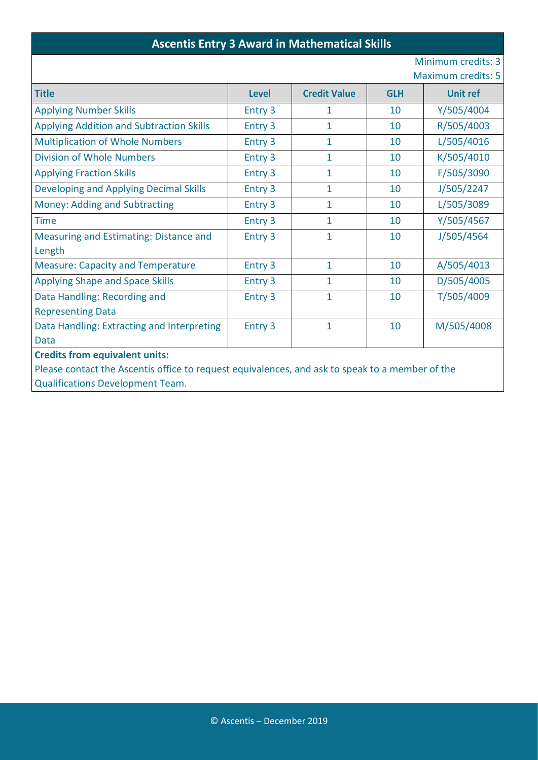#### **Ascentis Entry 3 Award in Mathematical Skills**

#### Minimum credits: 3

Maximum credits: 5

| <b>Credit Value</b><br><b>Level</b><br><b>GLH</b><br><b>Unit ref</b><br>Y/505/4004<br><b>Applying Number Skills</b><br>Entry 3<br>10<br>1<br>R/505/4003<br>1<br><b>Applying Addition and Subtraction Skills</b><br>Entry 3<br>10<br>$\mathbf{1}$<br>L/505/4016<br><b>Multiplication of Whole Numbers</b><br>Entry 3<br>10<br><b>Division of Whole Numbers</b><br>K/505/4010<br>Entry 3<br>$\mathbf{1}$<br>10<br>F/505/3090<br>Entry 3<br>1<br>10<br>1<br>J/505/2247<br><b>Developing and Applying Decimal Skills</b><br>Entry 3<br>10<br>Entry 3<br>$\mathbf{1}$<br>L/505/3089<br><b>Money: Adding and Subtracting</b><br>10<br>Y/505/4567<br>Entry 3<br>10<br><b>Time</b><br>1<br>Measuring and Estimating: Distance and<br>Entry 3<br>1<br>10<br>J/505/4564<br>Length<br>$\mathbf{1}$<br><b>Measure: Capacity and Temperature</b><br>Entry 3<br>10<br>A/505/4013<br><b>Applying Shape and Space Skills</b><br>1<br>10<br>D/505/4005<br>Entry 3<br>T/505/4009<br>Data Handling: Recording and<br>Entry 3<br>1<br>10<br><b>Representing Data</b><br>Entry 3<br>1<br>M/505/4008<br>Data Handling: Extracting and Interpreting<br>10<br><b>Data</b><br><b>Credits from equivalent units:</b><br>Please contact the Ascentis office to request equivalences, and ask to speak to a member of the |                                 |  |  |  |  |
|-----------------------------------------------------------------------------------------------------------------------------------------------------------------------------------------------------------------------------------------------------------------------------------------------------------------------------------------------------------------------------------------------------------------------------------------------------------------------------------------------------------------------------------------------------------------------------------------------------------------------------------------------------------------------------------------------------------------------------------------------------------------------------------------------------------------------------------------------------------------------------------------------------------------------------------------------------------------------------------------------------------------------------------------------------------------------------------------------------------------------------------------------------------------------------------------------------------------------------------------------------------------------------------------------|---------------------------------|--|--|--|--|
|                                                                                                                                                                                                                                                                                                                                                                                                                                                                                                                                                                                                                                                                                                                                                                                                                                                                                                                                                                                                                                                                                                                                                                                                                                                                                               | <b>Title</b>                    |  |  |  |  |
|                                                                                                                                                                                                                                                                                                                                                                                                                                                                                                                                                                                                                                                                                                                                                                                                                                                                                                                                                                                                                                                                                                                                                                                                                                                                                               |                                 |  |  |  |  |
|                                                                                                                                                                                                                                                                                                                                                                                                                                                                                                                                                                                                                                                                                                                                                                                                                                                                                                                                                                                                                                                                                                                                                                                                                                                                                               |                                 |  |  |  |  |
|                                                                                                                                                                                                                                                                                                                                                                                                                                                                                                                                                                                                                                                                                                                                                                                                                                                                                                                                                                                                                                                                                                                                                                                                                                                                                               |                                 |  |  |  |  |
|                                                                                                                                                                                                                                                                                                                                                                                                                                                                                                                                                                                                                                                                                                                                                                                                                                                                                                                                                                                                                                                                                                                                                                                                                                                                                               |                                 |  |  |  |  |
|                                                                                                                                                                                                                                                                                                                                                                                                                                                                                                                                                                                                                                                                                                                                                                                                                                                                                                                                                                                                                                                                                                                                                                                                                                                                                               | <b>Applying Fraction Skills</b> |  |  |  |  |
|                                                                                                                                                                                                                                                                                                                                                                                                                                                                                                                                                                                                                                                                                                                                                                                                                                                                                                                                                                                                                                                                                                                                                                                                                                                                                               |                                 |  |  |  |  |
|                                                                                                                                                                                                                                                                                                                                                                                                                                                                                                                                                                                                                                                                                                                                                                                                                                                                                                                                                                                                                                                                                                                                                                                                                                                                                               |                                 |  |  |  |  |
|                                                                                                                                                                                                                                                                                                                                                                                                                                                                                                                                                                                                                                                                                                                                                                                                                                                                                                                                                                                                                                                                                                                                                                                                                                                                                               |                                 |  |  |  |  |
|                                                                                                                                                                                                                                                                                                                                                                                                                                                                                                                                                                                                                                                                                                                                                                                                                                                                                                                                                                                                                                                                                                                                                                                                                                                                                               |                                 |  |  |  |  |
|                                                                                                                                                                                                                                                                                                                                                                                                                                                                                                                                                                                                                                                                                                                                                                                                                                                                                                                                                                                                                                                                                                                                                                                                                                                                                               |                                 |  |  |  |  |
|                                                                                                                                                                                                                                                                                                                                                                                                                                                                                                                                                                                                                                                                                                                                                                                                                                                                                                                                                                                                                                                                                                                                                                                                                                                                                               |                                 |  |  |  |  |
|                                                                                                                                                                                                                                                                                                                                                                                                                                                                                                                                                                                                                                                                                                                                                                                                                                                                                                                                                                                                                                                                                                                                                                                                                                                                                               |                                 |  |  |  |  |
|                                                                                                                                                                                                                                                                                                                                                                                                                                                                                                                                                                                                                                                                                                                                                                                                                                                                                                                                                                                                                                                                                                                                                                                                                                                                                               |                                 |  |  |  |  |
|                                                                                                                                                                                                                                                                                                                                                                                                                                                                                                                                                                                                                                                                                                                                                                                                                                                                                                                                                                                                                                                                                                                                                                                                                                                                                               |                                 |  |  |  |  |
|                                                                                                                                                                                                                                                                                                                                                                                                                                                                                                                                                                                                                                                                                                                                                                                                                                                                                                                                                                                                                                                                                                                                                                                                                                                                                               |                                 |  |  |  |  |
|                                                                                                                                                                                                                                                                                                                                                                                                                                                                                                                                                                                                                                                                                                                                                                                                                                                                                                                                                                                                                                                                                                                                                                                                                                                                                               |                                 |  |  |  |  |
|                                                                                                                                                                                                                                                                                                                                                                                                                                                                                                                                                                                                                                                                                                                                                                                                                                                                                                                                                                                                                                                                                                                                                                                                                                                                                               |                                 |  |  |  |  |
|                                                                                                                                                                                                                                                                                                                                                                                                                                                                                                                                                                                                                                                                                                                                                                                                                                                                                                                                                                                                                                                                                                                                                                                                                                                                                               |                                 |  |  |  |  |
| <b>Qualifications Development Team.</b>                                                                                                                                                                                                                                                                                                                                                                                                                                                                                                                                                                                                                                                                                                                                                                                                                                                                                                                                                                                                                                                                                                                                                                                                                                                       |                                 |  |  |  |  |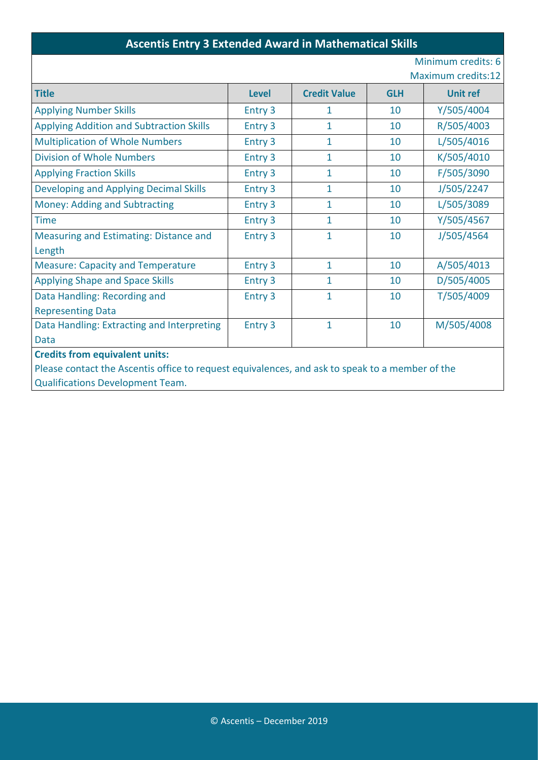#### **Ascentis Entry 3 Extended Award in Mathematical Skills**

#### Minimum credits: 6

Maximum credits:12

| <b>Title</b>                                                                                    | <b>Level</b> | <b>Credit Value</b> | <b>GLH</b> | <b>Unit ref</b> |
|-------------------------------------------------------------------------------------------------|--------------|---------------------|------------|-----------------|
| <b>Applying Number Skills</b>                                                                   | Entry 3      | 1                   | 10         | Y/505/4004      |
| <b>Applying Addition and Subtraction Skills</b>                                                 | Entry 3      | 1                   | 10         | R/505/4003      |
| <b>Multiplication of Whole Numbers</b>                                                          | Entry 3      | $\mathbf{1}$        | 10         | L/505/4016      |
| <b>Division of Whole Numbers</b>                                                                | Entry 3      | $\mathbf{1}$        | 10         | K/505/4010      |
| <b>Applying Fraction Skills</b>                                                                 | Entry 3      | 1                   | 10         | F/505/3090      |
| Developing and Applying Decimal Skills                                                          | Entry 3      | $\mathbf{1}$        | 10         | J/505/2247      |
| Money: Adding and Subtracting                                                                   | Entry 3      | $\mathbf{1}$        | 10         | L/505/3089      |
| <b>Time</b>                                                                                     | Entry 3      | 1                   | 10         | Y/505/4567      |
| Measuring and Estimating: Distance and                                                          | Entry 3      | 1                   | 10         | J/505/4564      |
| Length                                                                                          |              |                     |            |                 |
| <b>Measure: Capacity and Temperature</b>                                                        | Entry 3      | $\mathbf{1}$        | 10         | A/505/4013      |
| <b>Applying Shape and Space Skills</b>                                                          | Entry 3      | 1                   | 10         | D/505/4005      |
| Data Handling: Recording and                                                                    | Entry 3      | 1                   | 10         | T/505/4009      |
| <b>Representing Data</b>                                                                        |              |                     |            |                 |
| Data Handling: Extracting and Interpreting                                                      | Entry 3      | $\mathbf 1$         | 10         | M/505/4008      |
| <b>Data</b>                                                                                     |              |                     |            |                 |
| <b>Credits from equivalent units:</b>                                                           |              |                     |            |                 |
| Please contact the Ascentis office to request equivalences, and ask to speak to a member of the |              |                     |            |                 |
| <b>Qualifications Development Team.</b>                                                         |              |                     |            |                 |
|                                                                                                 |              |                     |            |                 |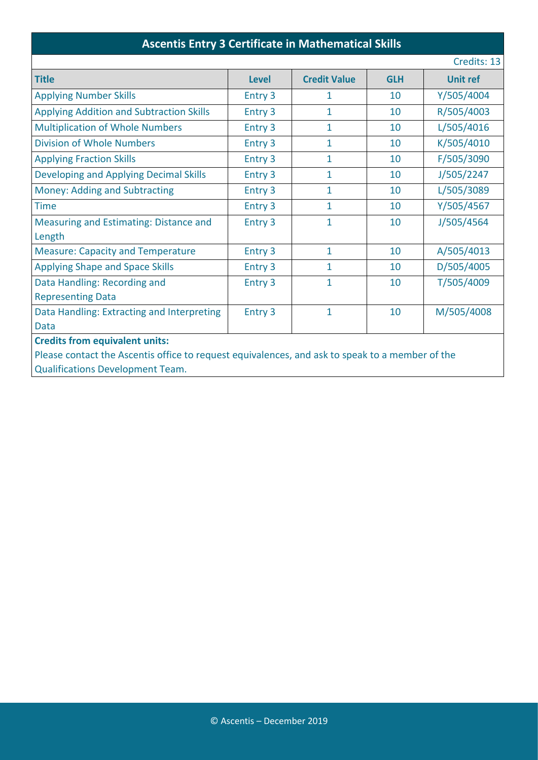#### **Ascentis Entry 3 Certificate in Mathematical Skills**

|                                                                                                 |              |                     |            | Credits: 13     |
|-------------------------------------------------------------------------------------------------|--------------|---------------------|------------|-----------------|
| <b>Title</b>                                                                                    | <b>Level</b> | <b>Credit Value</b> | <b>GLH</b> | <b>Unit ref</b> |
| <b>Applying Number Skills</b>                                                                   | Entry 3      | 1                   | 10         | Y/505/4004      |
| <b>Applying Addition and Subtraction Skills</b>                                                 | Entry 3      | 1                   | 10         | R/505/4003      |
| <b>Multiplication of Whole Numbers</b>                                                          | Entry 3      | 1                   | 10         | L/505/4016      |
| <b>Division of Whole Numbers</b>                                                                | Entry 3      | $\mathbf{1}$        | 10         | K/505/4010      |
| <b>Applying Fraction Skills</b>                                                                 | Entry 3      | 1                   | 10         | F/505/3090      |
| <b>Developing and Applying Decimal Skills</b>                                                   | Entry 3      | 1                   | 10         | J/505/2247      |
| <b>Money: Adding and Subtracting</b>                                                            | Entry 3      | 1                   | 10         | L/505/3089      |
| <b>Time</b>                                                                                     | Entry 3      | 1                   | 10         | Y/505/4567      |
| <b>Measuring and Estimating: Distance and</b>                                                   | Entry 3      | $\mathbf 1$         | 10         | J/505/4564      |
| Length                                                                                          |              |                     |            |                 |
| <b>Measure: Capacity and Temperature</b>                                                        | Entry 3      | $\mathbf 1$         | 10         | A/505/4013      |
| <b>Applying Shape and Space Skills</b>                                                          | Entry 3      | 1                   | 10         | D/505/4005      |
| Data Handling: Recording and                                                                    | Entry 3      | 1                   | 10         | T/505/4009      |
| <b>Representing Data</b>                                                                        |              |                     |            |                 |
| Data Handling: Extracting and Interpreting                                                      | Entry 3      | $\mathbf{1}$        | 10         | M/505/4008      |
| Data                                                                                            |              |                     |            |                 |
| <b>Credits from equivalent units:</b>                                                           |              |                     |            |                 |
| Please contact the Ascentis office to request equivalences, and ask to speak to a member of the |              |                     |            |                 |
| <b>Qualifications Development Team.</b>                                                         |              |                     |            |                 |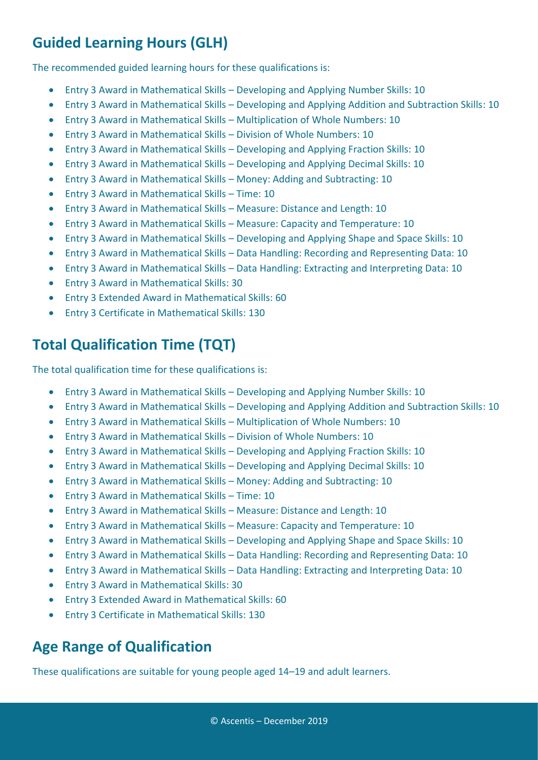## **Guided Learning Hours (GLH)**

The recommended guided learning hours for these qualifications is:

- Entry 3 Award in Mathematical Skills Developing and Applying Number Skills: 10
- Entry 3 Award in Mathematical Skills Developing and Applying Addition and Subtraction Skills: 10
- Entry 3 Award in Mathematical Skills Multiplication of Whole Numbers: 10
- Entry 3 Award in Mathematical Skills Division of Whole Numbers: 10
- Entry 3 Award in Mathematical Skills Developing and Applying Fraction Skills: 10
- Entry 3 Award in Mathematical Skills Developing and Applying Decimal Skills: 10
- Entry 3 Award in Mathematical Skills Money: Adding and Subtracting: 10
- Entry 3 Award in Mathematical Skills Time: 10
- Entry 3 Award in Mathematical Skills Measure: Distance and Length: 10
- Entry 3 Award in Mathematical Skills Measure: Capacity and Temperature: 10
- Entry 3 Award in Mathematical Skills Developing and Applying Shape and Space Skills: 10
- Entry 3 Award in Mathematical Skills Data Handling: Recording and Representing Data: 10
- Entry 3 Award in Mathematical Skills Data Handling: Extracting and Interpreting Data: 10
- Entry 3 Award in Mathematical Skills: 30
- Entry 3 Extended Award in Mathematical Skills: 60
- Entry 3 Certificate in Mathematical Skills: 130

### **Total Qualification Time (TQT)**

The total qualification time for these qualifications is:

- Entry 3 Award in Mathematical Skills Developing and Applying Number Skills: 10
- Entry 3 Award in Mathematical Skills Developing and Applying Addition and Subtraction Skills: 10
- Entry 3 Award in Mathematical Skills Multiplication of Whole Numbers: 10
- Entry 3 Award in Mathematical Skills Division of Whole Numbers: 10
- Entry 3 Award in Mathematical Skills Developing and Applying Fraction Skills: 10
- Entry 3 Award in Mathematical Skills Developing and Applying Decimal Skills: 10
- Entry 3 Award in Mathematical Skills Money: Adding and Subtracting: 10
- Entry 3 Award in Mathematical Skills Time: 10
- Entry 3 Award in Mathematical Skills Measure: Distance and Length: 10
- Entry 3 Award in Mathematical Skills Measure: Capacity and Temperature: 10
- Entry 3 Award in Mathematical Skills Developing and Applying Shape and Space Skills: 10
- Entry 3 Award in Mathematical Skills Data Handling: Recording and Representing Data: 10
- Entry 3 Award in Mathematical Skills Data Handling: Extracting and Interpreting Data: 10
- Entry 3 Award in Mathematical Skills: 30
- Entry 3 Extended Award in Mathematical Skills: 60
- Entry 3 Certificate in Mathematical Skills: 130

### **Age Range of Qualification**

These qualifications are suitable for young people aged 14–19 and adult learners.